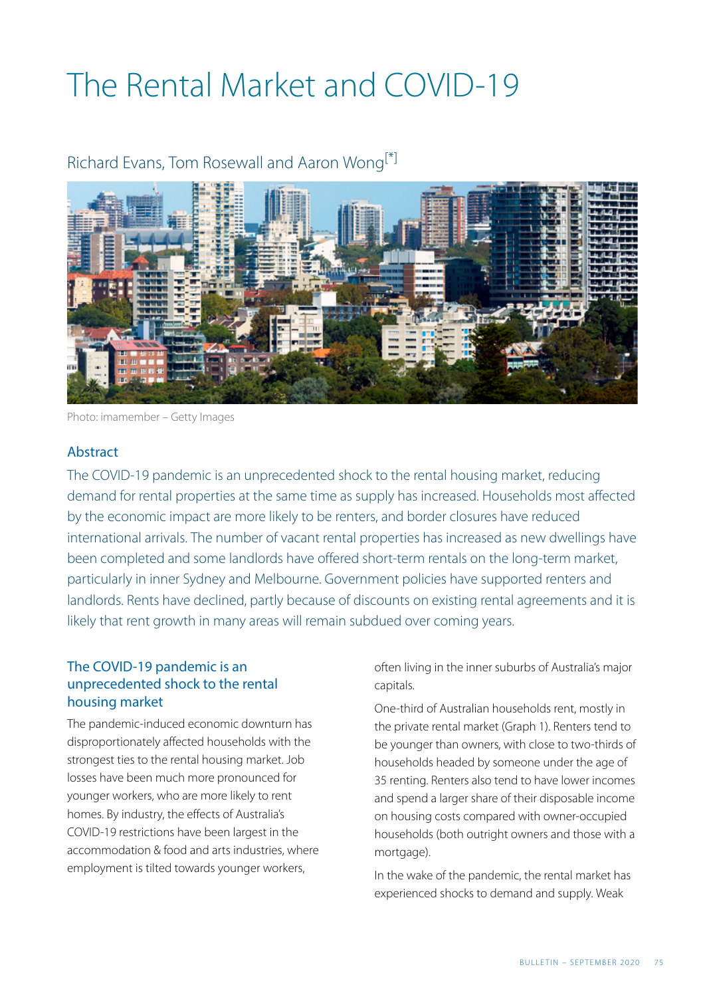# The Rental Market and COVID-19

### Richard Evans, Tom Rosewall and Aaron Wong<sup>[\*]</sup>

<span id="page-0-0"></span>

Photo: imamember – Getty Images

#### **Abstract**

The COVID-19 pandemic is an unprecedented shock to the rental housing market, reducing demand for rental properties at the same time as supply has increased. Households most affected by the economic impact are more likely to be renters, and border closures have reduced international arrivals. The number of vacant rental properties has increased as new dwellings have been completed and some landlords have offered short-term rentals on the long-term market, particularly in inner Sydney and Melbourne. Government policies have supported renters and landlords. Rents have declined, partly because of discounts on existing rental agreements and it is likely that rent growth in many areas will remain subdued over coming years.

#### The COVID-19 pandemic is an unprecedented shock to the rental housing market

The pandemic-induced economic downturn has disproportionately affected households with the strongest ties to the rental housing market. Job losses have been much more pronounced for younger workers, who are more likely to rent homes. By industry, the effects of Australia's COVID-19 restrictions have been largest in the accommodation & food and arts industries, where employment is tilted towards younger workers,

often living in the inner suburbs of Australia's major capitals.

One-third of Australian households rent, mostly in the private rental market (Graph 1). Renters tend to be younger than owners, with close to two-thirds of households headed by someone under the age of 35 renting. Renters also tend to have lower incomes and spend a larger share of their disposable income on housing costs compared with owner-occupied households (both outright owners and those with a mortgage).

In the wake of the pandemic, the rental market has experienced shocks to demand and supply. Weak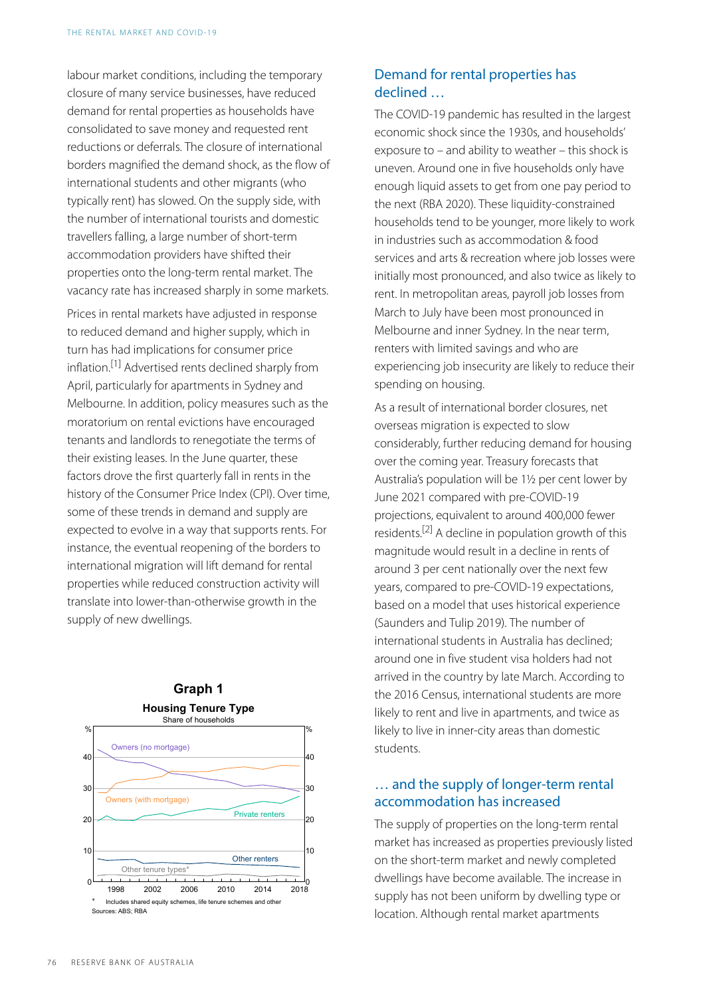labour market conditions, including the temporary closure of many service businesses, have reduced demand for rental properties as households have consolidated to save money and requested rent reductions or deferrals. The closure of international borders magnified the demand shock, as the flow of international students and other migrants (who typically rent) has slowed. On the supply side, with the number of international tourists and domestic travellers falling, a large number of short-term accommodation providers have shifted their properties onto the long-term rental market. The vacancy rate has increased sharply in some markets.

<span id="page-1-0"></span>Prices in rental markets have adjusted in response to reduced demand and higher supply, which in turn has had implications for consumer price inflation.[\[1\]](#page-8-1) Advertised rents declined sharply from April, particularly for apartments in Sydney and Melbourne. In addition, policy measures such as the moratorium on rental evictions have encouraged tenants and landlords to renegotiate the terms of their existing leases. In the June quarter, these factors drove the first quarterly fall in rents in the history of the Consumer Price Index (CPI). Over time, some of these trends in demand and supply are expected to evolve in a way that supports rents. For instance, the eventual reopening of the borders to international migration will lift demand for rental properties while reduced construction activity will translate into lower-than-otherwise growth in the supply of new dwellings.

<span id="page-1-1"></span>

## **Graph 1**

#### Demand for rental properties has declined …

The COVID-19 pandemic has resulted in the largest economic shock since the 1930s, and households' exposure to – and ability to weather – this shock is uneven. Around one in five households only have enough liquid assets to get from one pay period to the next (RBA 2020). These liquidity-constrained households tend to be younger, more likely to work in industries such as accommodation & food services and arts & recreation where job losses were initially most pronounced, and also twice as likely to rent. In metropolitan areas, payroll job losses from March to July have been most pronounced in Melbourne and inner Sydney. In the near term, renters with limited savings and who are experiencing job insecurity are likely to reduce their spending on housing.

As a result of international border closures, net overseas migration is expected to slow considerably, further reducing demand for housing over the coming year. Treasury forecasts that Australia's population will be 1½ per cent lower by June 2021 compared with pre-COVID-19 projections, equivalent to around 400,000 fewer residents.<sup>[\[2\]](#page-8-2)</sup> A decline in population growth of this magnitude would result in a decline in rents of around 3 per cent nationally over the next few years, compared to pre-COVID-19 expectations, based on a model that uses historical experience (Saunders and Tulip 2019). The number of international students in Australia has declined; around one in five student visa holders had not arrived in the country by late March. According to the 2016 Census, international students are more likely to rent and live in apartments, and twice as likely to live in inner-city areas than domestic students.

#### … and the supply of longer-term rental accommodation has increased

The supply of properties on the long-term rental market has increased as properties previously listed on the short-term market and newly completed dwellings have become available. The increase in supply has not been uniform by dwelling type or location. Although rental market apartments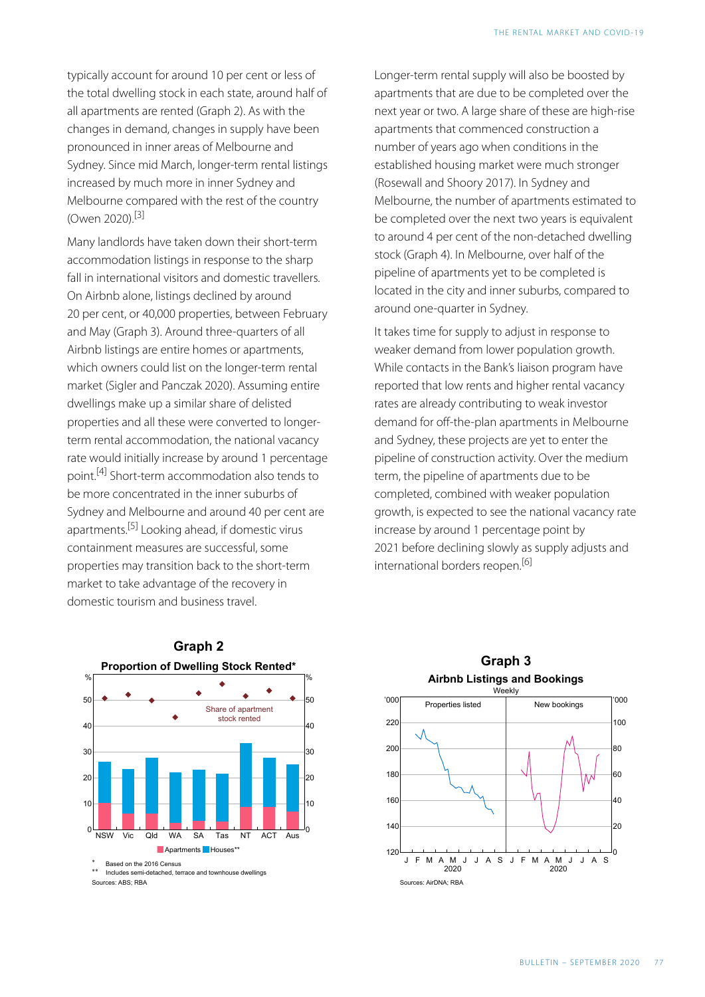typically account for around 10 per cent or less of the total dwelling stock in each state, around half of all apartments are rented (Graph 2). As with the changes in demand, changes in supply have been pronounced in inner areas of Melbourne and Sydney. Since mid March, longer-term rental listings increased by much more in inner Sydney and Melbourne compared with the rest of the country (Owen 2020).[\[3\]](#page-8-3)

<span id="page-2-0"></span>Many landlords have taken down their short-term accommodation listings in response to the sharp fall in international visitors and domestic travellers. On Airbnb alone, listings declined by around 20 per cent, or 40,000 properties, between February and May (Graph 3). Around three-quarters of all Airbnb listings are entire homes or apartments, which owners could list on the longer-term rental market (Sigler and Panczak 2020). Assuming entire dwellings make up a similar share of delisted properties and all these were converted to longerterm rental accommodation, the national vacancy rate would initially increase by around 1 percentage point.[\[4\]](#page-8-4) Short-term accommodation also tends to be more concentrated in the inner suburbs of Sydney and Melbourne and around 40 per cent are apartments.<sup>[\[5\]](#page-8-5)</sup> Looking ahead, if domestic virus containment measures are successful, some properties may transition back to the short-term market to take advantage of the recovery in domestic tourism and business travel.

Longer-term rental supply will also be boosted by apartments that are due to be completed over the next year or two. A large share of these are high-rise apartments that commenced construction a number of years ago when conditions in the established housing market were much stronger (Rosewall and Shoory 2017). In Sydney and Melbourne, the number of apartments estimated to be completed over the next two years is equivalent to around 4 per cent of the non-detached dwelling stock (Graph 4). In Melbourne, over half of the pipeline of apartments yet to be completed is located in the city and inner suburbs, compared to around one-quarter in Sydney.

It takes time for supply to adjust in response to weaker demand from lower population growth. While contacts in the Bank's liaison program have reported that low rents and higher rental vacancy rates are already contributing to weak investor demand for off-the-plan apartments in Melbourne and Sydney, these projects are yet to enter the pipeline of construction activity. Over the medium term, the pipeline of apartments due to be completed, combined with weaker population growth, is expected to see the national vacancy rate increase by around 1 percentage point by 2021 before declining slowly as supply adjusts and international borders reopen.[\[6\]](#page-8-6) 

<span id="page-2-3"></span><span id="page-2-2"></span><span id="page-2-1"></span>

Includes semi-detached, terrace and townhouse dwellings Sources: ABS: RBA

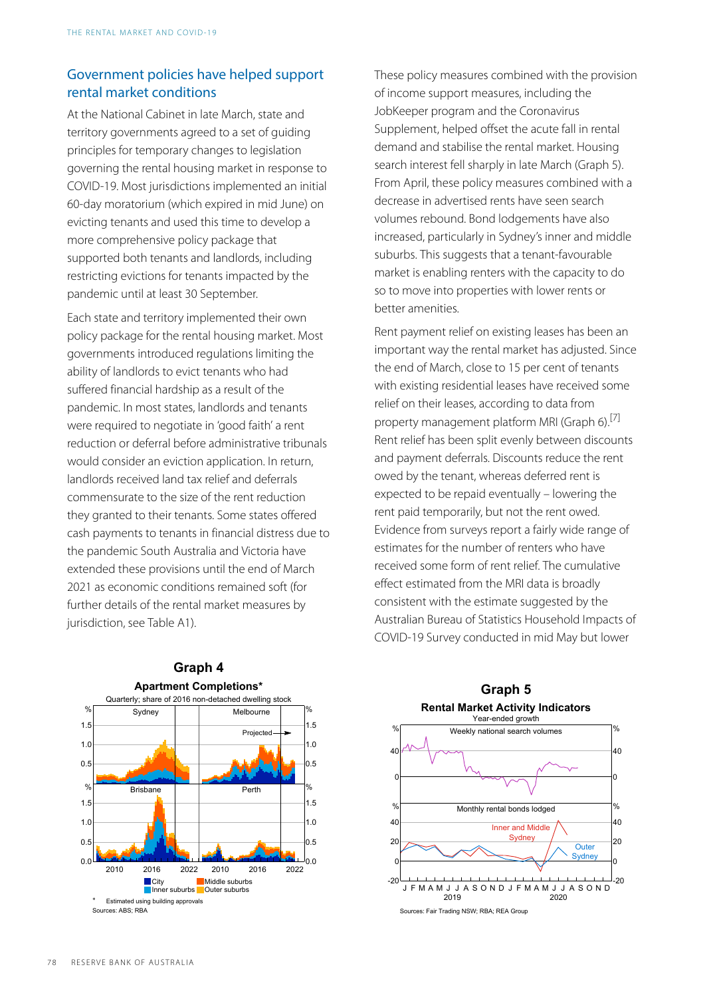#### Government policies have helped support rental market conditions

At the National Cabinet in late March, state and territory governments agreed to a set of guiding principles for temporary changes to legislation governing the rental housing market in response to COVID-19 . Most jurisdictions implemented an initial 60-day moratorium (which expired in mid June) on evicting tenants and used this time to develop a more comprehensive policy package that supported both tenants and landlords, including restricting evictions for tenants impacted by the pandemic until at least 30 September.

<span id="page-3-0"></span>Each state and territory implemented their own policy package for the rental housing market. Most governments introduced regulations limiting the ability of landlords to evict tenants who had suffered financial hardship as a result of the pandemic. In most states, landlords and tenants were required to negotiate in 'good faith' a rent reduction or deferral before administrative tribunals would consider an eviction application. In return, landlords received land tax relief and deferrals commensurate to the size of the rent reduction they granted to their tenants. Some states offered cash payments to tenants in financial distress due to the pandemic South Australia and Victoria have extended these provisions until the end of March 2021 as economic conditions remained soft (for further details of the rental market measures by jurisdiction, see Table A1).

These policy measures combined with the provision of income support measures, including the JobKeeper program and the Coronavirus Supplement, helped offset the acute fall in rental demand and stabilise the rental market. Housing search interest fell sharply in late March (Graph 5). From April, these policy measures combined with a decrease in advertised rents have seen search volumes rebound. Bond lodgements have also increased, particularly in Sydney's inner and middle suburbs. This suggests that a tenant-favourable market is enabling renters with the capacity to do so to move into properties with lower rents or better amenities.

Rent payment relief on existing leases has been an important way the rental market has adjusted. Since the end of March, close to 15 per cent of tenants with existing residential leases have received some relief on their leases, according to data from property management platform MRI (Graph 6).<sup>[\[7\]](#page-8-7)</sup> Rent relief has been split evenly between discounts and payment deferrals. Discounts reduce the rent owed by the tenant, whereas deferred rent is expected to be repaid eventually – lowering the rent paid temporarily, but not the rent owed. Evidence from surveys report a fairly wide range of estimates for the number of renters who have received some form of rent relief. The cumulative effect estimated from the MRI data is broadly consistent with the estimate suggested by the Australian Bureau of Statistics Household Impacts of COVID-19 Survey conducted in mid May but lower



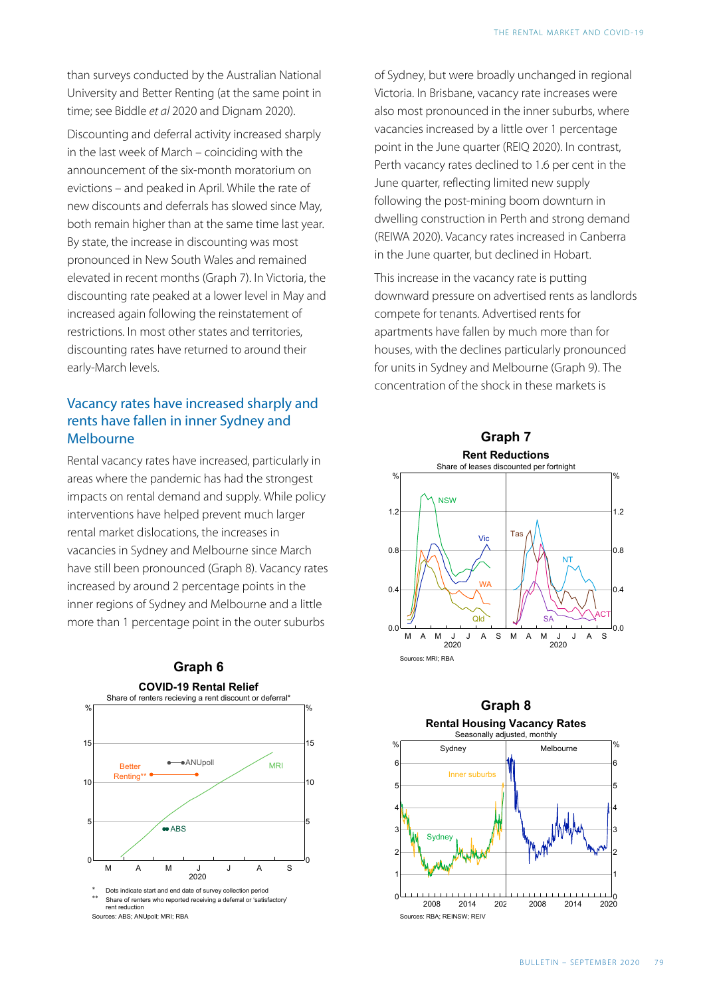than surveys conducted by the Australian National University and Better Renting (at the same point in time; see Biddle *et al* 2020 and Dignam 2020).

Discounting and deferral activity increased sharply in the last week of March – coinciding with the announcement of the six-month moratorium on evictions – and peaked in April. While the rate of new discounts and deferrals has slowed since May, both remain higher than at the same time last year. By state, the increase in discounting was most pronounced in New South Wales and remained elevated in recent months (Graph 7). In Victoria, the discounting rate peaked at a lower level in May and increased again following the reinstatement of restrictions. In most other states and territories, discounting rates have returned to around their early-March levels.

#### Vacancy rates have increased sharply and rents have fallen in inner Sydney and Melbourne

Rental vacancy rates have increased, particularly in areas where the pandemic has had the strongest impacts on rental demand and supply. While policy interventions have helped prevent much larger rental market dislocations, the increases in vacancies in Sydney and Melbourne since March have still been pronounced (Graph 8). Vacancy rates increased by around 2 percentage points in the inner regions of Sydney and Melbourne and a little more than 1 percentage point in the outer suburbs





of Sydney, but were broadly unchanged in regional Victoria. In Brisbane, vacancy rate increases were also most pronounced in the inner suburbs, where vacancies increased by a little over 1 percentage point in the June quarter (REIQ 2020). In contrast, Perth vacancy rates declined to 1.6 per cent in the June quarter, reflecting limited new supply following the post-mining boom downturn in dwelling construction in Perth and strong demand (REIWA 2020). Vacancy rates increased in Canberra in the June quarter, but declined in Hobart.

This increase in the vacancy rate is putting downward pressure on advertised rents as landlords compete for tenants. Advertised rents for apartments have fallen by much more than for houses, with the declines particularly pronounced for units in Sydney and Melbourne (Graph 9). The concentration of the shock in these markets is



#### **Graph 8 Rental Housing Vacancy Rates**

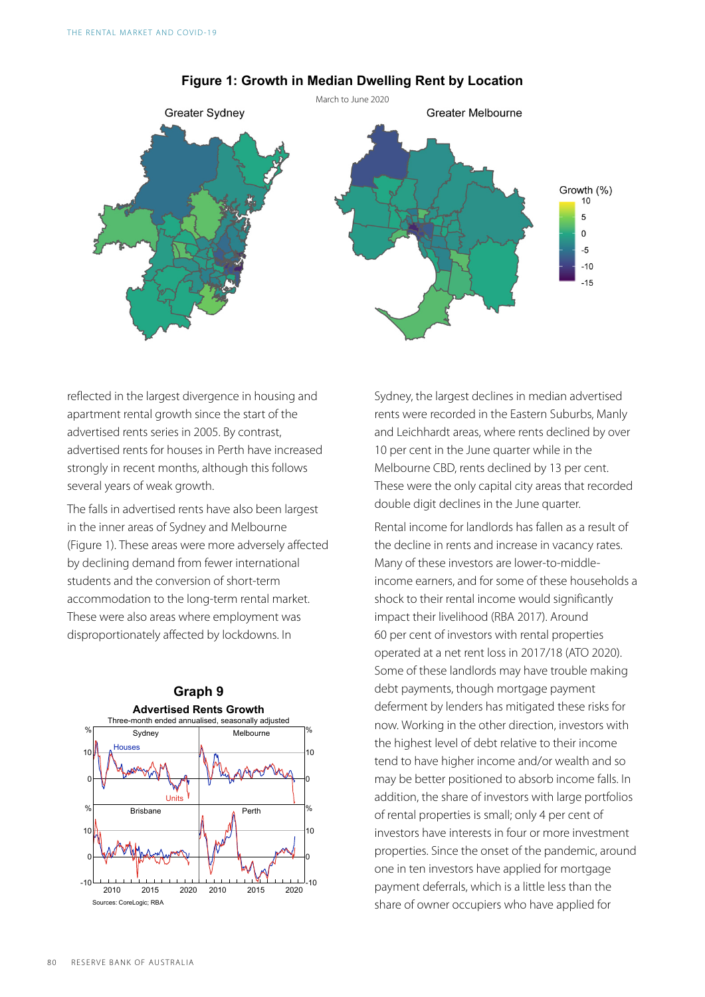

#### **Figure 1: Growth in Median Dwelling Rent by Location**

reflected in the largest divergence in housing and apartment rental growth since the start of the advertised rents series in 2005. By contrast, advertised rents for houses in Perth have increased strongly in recent months, although this follows several years of weak growth.

The falls in advertised rents have also been largest in the inner areas of Sydney and Melbourne (Figure 1). These areas were more adversely affected by declining demand from fewer international students and the conversion of short-term accommodation to the long-term rental market. These were also areas where employment was disproportionately affected by lockdowns. In



Sydney, the largest declines in median advertised rents were recorded in the Eastern Suburbs, Manly and Leichhardt areas, where rents declined by over 10 per cent in the June quarter while in the Melbourne CBD, rents declined by 13 per cent. These were the only capital city areas that recorded double digit declines in the June quarter.

Rental income for landlords has fallen as a result of the decline in rents and increase in vacancy rates. Many of these investors are lower-to-middleincome earners, and for some of these households a shock to their rental income would significantly impact their livelihood (RBA 2017). Around 60 per cent of investors with rental properties operated at a net rent loss in 2017/18 (ATO 2020). Some of these landlords may have trouble making debt payments, though mortgage payment deferment by lenders has mitigated these risks for now. Working in the other direction, investors with the highest level of debt relative to their income tend to have higher income and/or wealth and so may be better positioned to absorb income falls. In addition, the share of investors with large portfolios of rental properties is small; only 4 per cent of investors have interests in four or more investment properties. Since the onset of the pandemic, around one in ten investors have applied for mortgage payment deferrals, which is a little less than the share of owner occupiers who have applied for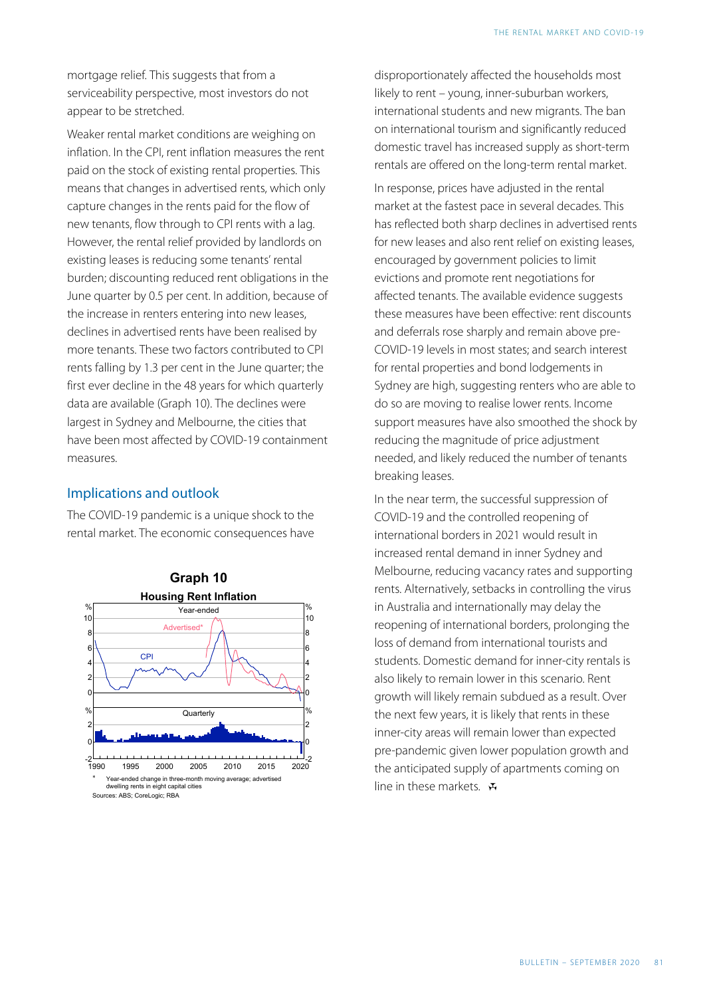mortgage relief. This suggests that from a serviceability perspective, most investors do not appear to be stretched.

Weaker rental market conditions are weighing on inflation. In the CPI, rent inflation measures the rent paid on the stock of existing rental properties. This means that changes in advertised rents, which only capture changes in the rents paid for the flow of new tenants, flow through to CPI rents with a lag. However, the rental relief provided by landlords on existing leases is reducing some tenants' rental burden; discounting reduced rent obligations in the June quarter by 0.5 per cent. In addition, because of the increase in renters entering into new leases, declines in advertised rents have been realised by more tenants. These two factors contributed to CPI rents falling by 1.3 per cent in the June quarter; the first ever decline in the 48 years for which quarterly data are available (Graph 10). The declines were largest in Sydney and Melbourne, the cities that have been most affected by COVID-19 containment measures.

#### Implications and outlook

The COVID-19 pandemic is a unique shock to the rental market. The economic consequences have



disproportionately affected the households most likely to rent – young, inner-suburban workers, international students and new migrants. The ban on international tourism and significantly reduced domestic travel has increased supply as short-term rentals are offered on the long-term rental market.

In response, prices have adjusted in the rental market at the fastest pace in several decades. This has reflected both sharp declines in advertised rents for new leases and also rent relief on existing leases, encouraged by government policies to limit evictions and promote rent negotiations for affected tenants. The available evidence suggests these measures have been effective: rent discounts and deferrals rose sharply and remain above pre-COVID-19 levels in most states; and search interest for rental properties and bond lodgements in Sydney are high, suggesting renters who are able to do so are moving to realise lower rents. Income support measures have also smoothed the shock by reducing the magnitude of price adjustment needed, and likely reduced the number of tenants breaking leases.

In the near term, the successful suppression of COVID-19 and the controlled reopening of international borders in 2021 would result in increased rental demand in inner Sydney and Melbourne, reducing vacancy rates and supporting rents. Alternatively, setbacks in controlling the virus in Australia and internationally may delay the reopening of international borders, prolonging the loss of demand from international tourists and students. Domestic demand for inner-city rentals is also likely to remain lower in this scenario. Rent growth will likely remain subdued as a result. Over the next few years, it is likely that rents in these inner-city areas will remain lower than expected pre-pandemic given lower population growth and the anticipated supply of apartments coming on line in these markets.  $\mathbf x$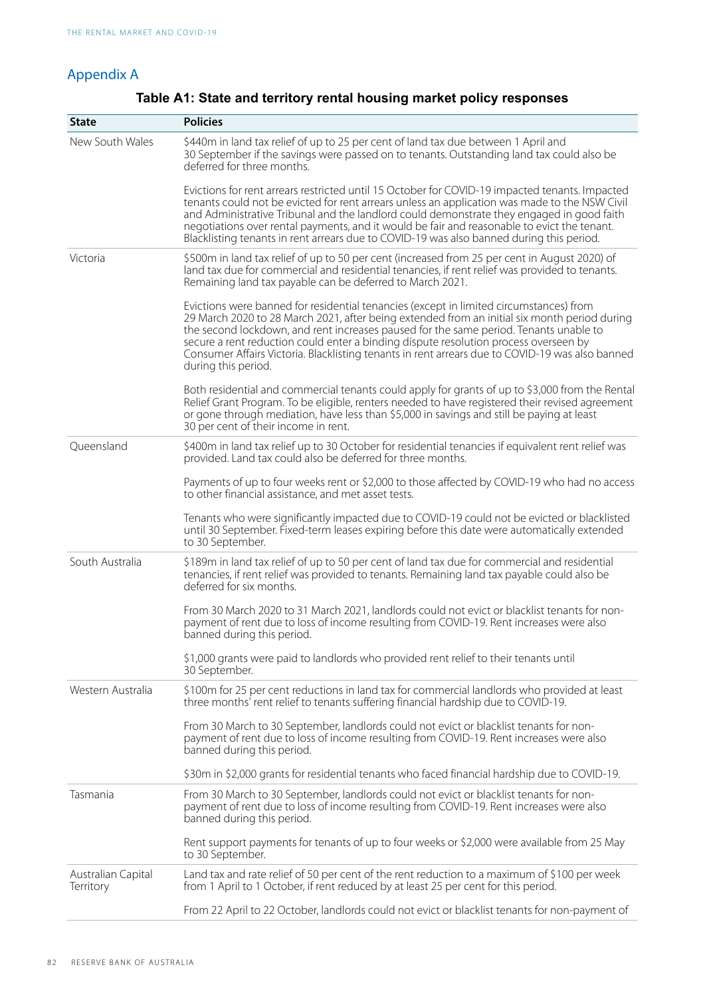#### Appendix A

| <b>State</b>                    | <b>Policies</b>                                                                                                                                                                                                                                                                                                                                                                                                                                                                                   |
|---------------------------------|---------------------------------------------------------------------------------------------------------------------------------------------------------------------------------------------------------------------------------------------------------------------------------------------------------------------------------------------------------------------------------------------------------------------------------------------------------------------------------------------------|
| New South Wales                 | \$440m in land tax relief of up to 25 per cent of land tax due between 1 April and<br>30 September if the savings were passed on to tenants. Outstanding land tax could also be<br>deferred for three months.                                                                                                                                                                                                                                                                                     |
|                                 | Evictions for rent arrears restricted until 15 October for COVID-19 impacted tenants. Impacted<br>tenants could not be evicted for rent arrears unless an application was made to the NSW Civil<br>and Administrative Tribunal and the landlord could demonstrate they engaged in good faith<br>negotiations over rental payments, and it would be fair and reasonable to evict the tenant.<br>Blacklisting tenants in rent arrears due to COVID-19 was also banned during this period.           |
| Victoria                        | \$500m in land tax relief of up to 50 per cent (increased from 25 per cent in August 2020) of<br>land tax due for commercial and residential tenancies, if rent relief was provided to tenants.<br>Remaining land tax payable can be deferred to March 2021.                                                                                                                                                                                                                                      |
|                                 | Evictions were banned for residential tenancies (except in limited circumstances) from<br>29 March 2020 to 28 March 2021, after being extended from an initial six month period during<br>the second lockdown, and rent increases paused for the same period. Tenants unable to<br>secure a rent reduction could enter a binding dispute resolution process overseen by<br>Consumer Affairs Victoria. Blacklisting tenants in rent arrears due to COVID-19 was also banned<br>during this period. |
|                                 | Both residential and commercial tenants could apply for grants of up to \$3,000 from the Rental<br>Relief Grant Program. To be eligible, renters needed to have registered their revised agreement<br>or gone through mediation, have less than \$5,000 in savings and still be paying at least<br>30 per cent of their income in rent.                                                                                                                                                           |
| Queensland                      | \$400m in land tax relief up to 30 October for residential tenancies if equivalent rent relief was<br>provided. Land tax could also be deferred for three months.                                                                                                                                                                                                                                                                                                                                 |
|                                 | Payments of up to four weeks rent or \$2,000 to those affected by COVID-19 who had no access<br>to other financial assistance, and met asset tests.                                                                                                                                                                                                                                                                                                                                               |
|                                 | Tenants who were significantly impacted due to COVID-19 could not be evicted or blacklisted<br>until 30 September. Fixed-term leases expiring before this date were automatically extended<br>to 30 September.                                                                                                                                                                                                                                                                                    |
| South Australia                 | \$189m in land tax relief of up to 50 per cent of land tax due for commercial and residential<br>tenancies, if rent relief was provided to tenants. Remaining land tax payable could also be<br>deferred for six months.                                                                                                                                                                                                                                                                          |
|                                 | From 30 March 2020 to 31 March 2021, landlords could not evict or blacklist tenants for non-<br>payment of rent due to loss of income resulting from COVID-19. Rent increases were also<br>banned during this period.                                                                                                                                                                                                                                                                             |
|                                 | \$1,000 grants were paid to landlords who provided rent relief to their tenants until<br>30 September.                                                                                                                                                                                                                                                                                                                                                                                            |
| Western Australia               | \$100m for 25 per cent reductions in land tax for commercial landlords who provided at least<br>three months' rent relief to tenants suffering financial hardship due to COVID-19.                                                                                                                                                                                                                                                                                                                |
|                                 | From 30 March to 30 September, landlords could not evict or blacklist tenants for non-<br>payment of rent due to loss of income resulting from COVID-19. Rent increases were also<br>banned during this period.                                                                                                                                                                                                                                                                                   |
|                                 | \$30m in \$2,000 grants for residential tenants who faced financial hardship due to COVID-19.                                                                                                                                                                                                                                                                                                                                                                                                     |
| Tasmania                        | From 30 March to 30 September, landlords could not evict or blacklist tenants for non-<br>payment of rent due to loss of income resulting from COVID-19. Rent increases were also<br>banned during this period.                                                                                                                                                                                                                                                                                   |
|                                 | Rent support payments for tenants of up to four weeks or \$2,000 were available from 25 May<br>to 30 September.                                                                                                                                                                                                                                                                                                                                                                                   |
| Australian Capital<br>Territory | Land tax and rate relief of 50 per cent of the rent reduction to a maximum of \$100 per week<br>from 1 April to 1 October, if rent reduced by at least 25 per cent for this period.                                                                                                                                                                                                                                                                                                               |
|                                 | From 22 April to 22 October, landlords could not evict or blacklist tenants for non-payment of                                                                                                                                                                                                                                                                                                                                                                                                    |

#### **Table A1: State and territory rental housing market policy responses**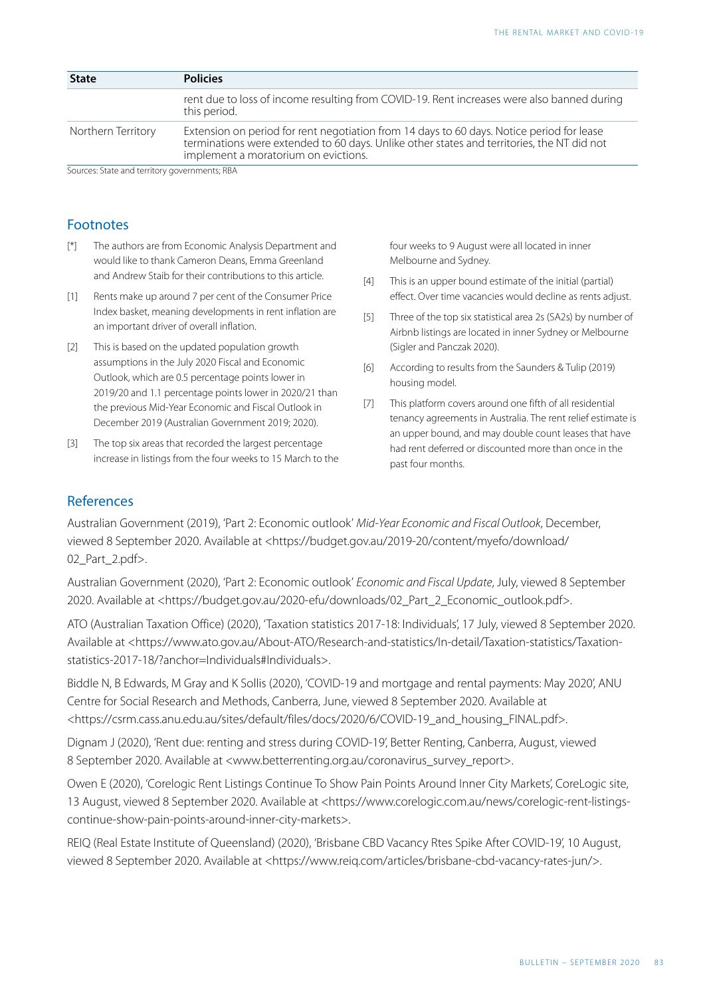| <b>Policies</b>                                                                                                                                                                                                                 |
|---------------------------------------------------------------------------------------------------------------------------------------------------------------------------------------------------------------------------------|
| rent due to loss of income resulting from COVID-19. Rent increases were also banned during<br>this period.                                                                                                                      |
| Extension on period for rent negotiation from 14 days to 60 days. Notice period for lease<br>terminations were extended to 60 days. Unlike other states and territories, the NT did not<br>implement a moratorium on evictions. |
|                                                                                                                                                                                                                                 |

Sources: State and territory governments; RBA

#### Footnotes

- <span id="page-8-0"></span>The authors are from Economic Analysis Department and would like to thank Cameron Deans, Emma Greenland and Andrew Staib for their contributions to this article.  $\lceil$ <sup>\*</sup>]
- <span id="page-8-5"></span><span id="page-8-4"></span><span id="page-8-1"></span>Rents make up around 7 per cent of the Consumer Price Index basket, meaning developments in rent inflation are an important driver of overall inflation.  $[1]$
- <span id="page-8-6"></span><span id="page-8-2"></span>This is based on the updated population growth [\[2\]](#page-1-1)  assumptions in the July 2020 Fiscal and Economic Outlook, which are 0.5 percentage points lower in 2019/20 and 1.1 percentage points lower in 2020/21 than the previous Mid-Year Economic and Fiscal Outlook in December 2019 (Australian Government 2019; 2020).
- <span id="page-8-7"></span><span id="page-8-3"></span>The top six areas that recorded the largest percentage [\[3\]](#page-2-0)  increase in listings from the four weeks to 15 March to the

four weeks to 9 August were all located in inner Melbourne and Sydney.

- This is an upper bound estimate of the initial (partial) [\[4\]](#page-2-1) effect. Over time vacancies would decline as rents adjust.
- Three of the top six statistical area 2s (SA2s) by number of [\[5\]](#page-2-2) Airbnb listings are located in inner Sydney or Melbourne (Sigler and Panczak 2020).
- According to results from the Saunders & Tulip (2019) housing model. [\[6\]](#page-2-3)
- This platform covers around one fifth of all residential [\[7\]](#page-3-0) tenancy agreements in Australia. The rent relief estimate is an upper bound, and may double count leases that have had rent deferred or discounted more than once in the past four months.

#### References

Australian Government (2019), 'Part 2: Economic outlook' *Mid-Year Economic and Fiscal Outlook*, December, viewed 8 September 2020. Available at <https://budget.gov.au/2019-20/content/myefo/download/ 02\_Part\_2.pdf>.

Australian Government (2020), 'Part 2: Economic outlook' *Economic and Fiscal Update*, July, viewed 8 September 2020. Available at <https://budget.gov.au/2020-efu/downloads/02\_Part\_2\_Economic\_outlook.pdf>.

ATO (Australian Taxation Office) (2020), 'Taxation statistics 2017-18: Individuals', 17 July, viewed 8 September 2020. Available at <https://www.ato.gov.au/About-ATO/Research-and-statistics/In-detail/Taxation-statistics/Taxationstatistics-2017-18/?anchor=Individuals#Individuals>.

Biddle N, B Edwards, M Gray and K Sollis (2020), 'COVID-19 and mortgage and rental payments: May 2020', ANU Centre for Social Research and Methods, Canberra, June, viewed 8 September 2020. Available at <https://csrm.cass.anu.edu.au/sites/default/files/docs/2020/6/COVID-19 \_and\_housing\_FINAL.pdf>.

Dignam J (2020), 'Rent due: renting and stress during COVID-19 ', Better Renting, Canberra, August, viewed 8 September 2020. Available at <www.betterrenting.org.au/coronavirus\_survey\_report>.

Owen E (2020), 'Corelogic Rent Listings Continue To Show Pain Points Around Inner City Markets', CoreLogic site, 13 August, viewed 8 September 2020. Available at <https://www.corelogic.com.au/news/corelogic-rent-listingscontinue-show-pain-points-around-inner-city-markets>.

REIQ (Real Estate Institute of Queensland) (2020), 'Brisbane CBD Vacancy Rtes Spike After COVID-19', 10 August, viewed 8 September 2020. Available at <https://www.reiq.com/articles/brisbane-cbd-vacancy-rates-jun/>.